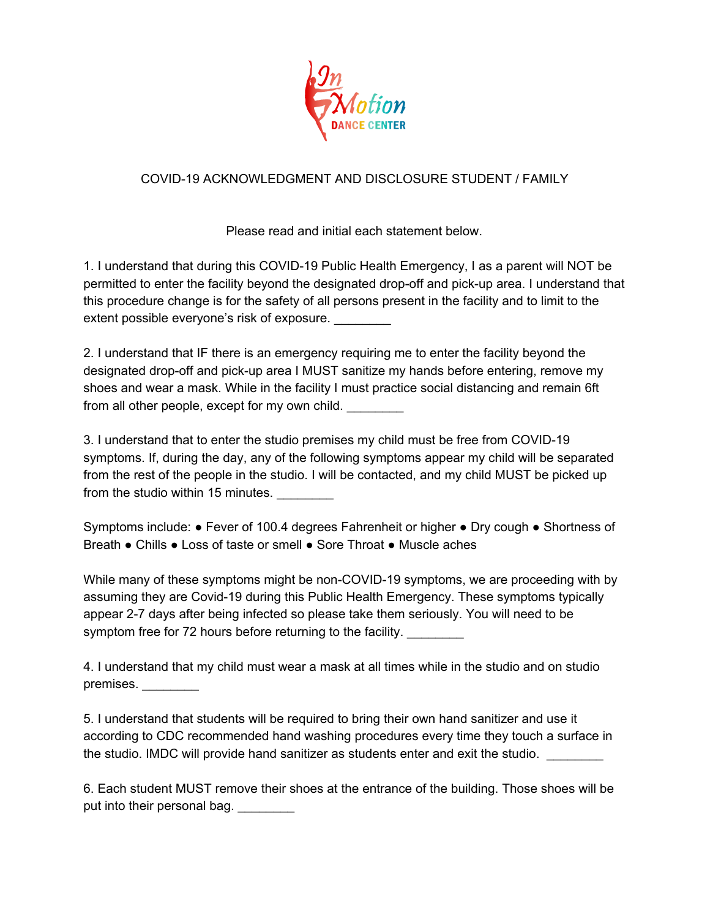

## COVID-19 ACKNOWLEDGMENT AND DISCLOSURE STUDENT / FAMILY

Please read and initial each statement below.

1. I understand that during this COVID-19 Public Health Emergency, I as a parent will NOT be permitted to enter the facility beyond the designated drop-off and pick-up area. I understand that this procedure change is for the safety of all persons present in the facility and to limit to the extent possible everyone's risk of exposure.

2. I understand that IF there is an emergency requiring me to enter the facility beyond the designated drop-off and pick-up area I MUST sanitize my hands before entering, remove my shoes and wear a mask. While in the facility I must practice social distancing and remain 6ft from all other people, except for my own child.

3. I understand that to enter the studio premises my child must be free from COVID-19 symptoms. If, during the day, any of the following symptoms appear my child will be separated from the rest of the people in the studio. I will be contacted, and my child MUST be picked up from the studio within 15 minutes.

Symptoms include: ● Fever of 100.4 degrees Fahrenheit or higher ● Dry cough ● Shortness of Breath ● Chills ● Loss of taste or smell ● Sore Throat ● Muscle aches

While many of these symptoms might be non-COVID-19 symptoms, we are proceeding with by assuming they are Covid-19 during this Public Health Emergency. These symptoms typically appear 2-7 days after being infected so please take them seriously. You will need to be symptom free for 72 hours before returning to the facility.

4. I understand that my child must wear a mask at all times while in the studio and on studio premises. \_\_\_\_\_\_\_\_

5. I understand that students will be required to bring their own hand sanitizer and use it according to CDC recommended hand washing procedures every time they touch a surface in the studio. IMDC will provide hand sanitizer as students enter and exit the studio.

6. Each student MUST remove their shoes at the entrance of the building. Those shoes will be put into their personal bag. \_\_\_\_\_\_\_\_